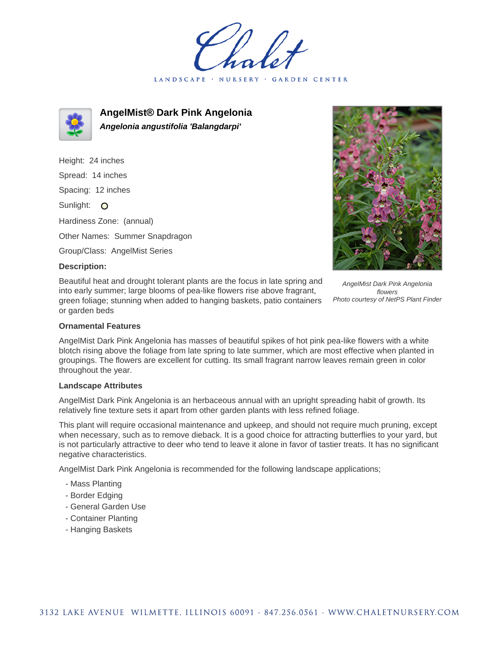LANDSCAPE · GARDEN CENTER



**AngelMist® Dark Pink Angelonia Angelonia angustifolia 'Balangdarpi'**

Height: 24 inches Spread: 14 inches Spacing: 12 inches Sunlight: O Hardiness Zone: (annual) Other Names: Summer Snapdragon Group/Class: AngelMist Series

# **Description:**

Beautiful heat and drought tolerant plants are the focus in late spring and into early summer; large blooms of pea-like flowers rise above fragrant, green foliage; stunning when added to hanging baskets, patio containers or garden beds

AngelMist Dark Pink Angelonia flowers Photo courtesy of NetPS Plant Finder

## **Ornamental Features**

AngelMist Dark Pink Angelonia has masses of beautiful spikes of hot pink pea-like flowers with a white blotch rising above the foliage from late spring to late summer, which are most effective when planted in groupings. The flowers are excellent for cutting. Its small fragrant narrow leaves remain green in color throughout the year.

#### **Landscape Attributes**

AngelMist Dark Pink Angelonia is an herbaceous annual with an upright spreading habit of growth. Its relatively fine texture sets it apart from other garden plants with less refined foliage.

This plant will require occasional maintenance and upkeep, and should not require much pruning, except when necessary, such as to remove dieback. It is a good choice for attracting butterflies to your yard, but is not particularly attractive to deer who tend to leave it alone in favor of tastier treats. It has no significant negative characteristics.

AngelMist Dark Pink Angelonia is recommended for the following landscape applications;

- Mass Planting
- Border Edging
- General Garden Use
- Container Planting
- Hanging Baskets